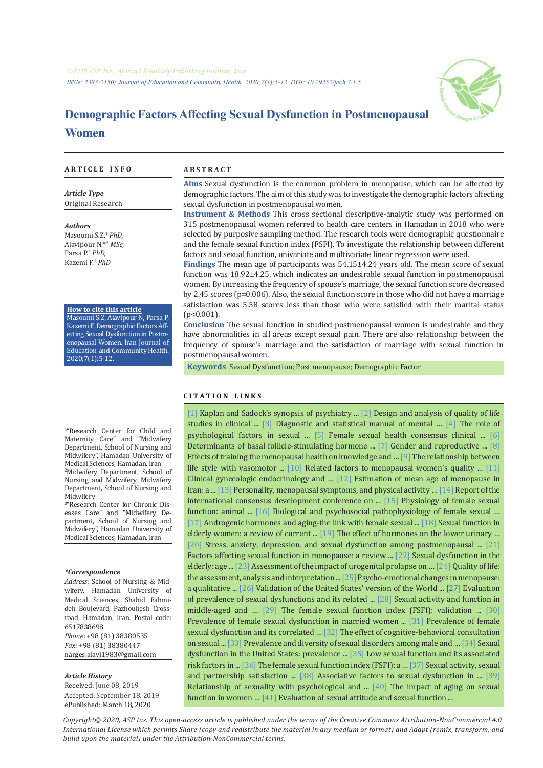*ISSN: 2383-2150; Journal of Education and Community Health. 2020;7(1):5-12. DOI: 10.29252/jech.7.1.5*



# **Demographic Factors Affecting Sexual Dysfunction in Postmenopausal Women**

#### **A R T I C L E I N F O A B S T R A C T**

*Article Type* Original Research

*Authors* Masoumi S.Z.<sup>1</sup>  *PhD,* Alavipour N.\*<sup>2</sup> *MSc,* Parsa P.<sup>3</sup> *PhD,* Kazemi F.<sup>1</sup> *PhD*

#### **How to cite this article**

Masoumi S.Z, Alavipour N, Parsa P, Kazemi F. Demographic Factors Affecting Sexual Dysfunction in Postmenopausal Women. Iran Journal of Education and Community Health. 2020;7(1):5-12.

1 "Research Center for Child and Maternity Care" and "Midwifery Department, School of Nursing and Midwifery", Hamadan University of Medical Sciences, Hamadan, Iran 2 Midwifery Department, School of Nursing and Midwifery, Midwifery Department, School of Nursing and Midwifery

3 "Research Center for Chronic Diseases Care" and "Midwifery Department, School of Nursing and Midwifery", Hamadan University of Medical Sciences, Hamadan, Iran

#### *\*Correspondence*

*Address*: School of Nursing & Midwifery, Hamadan University of Medical Sciences, Shahid Fahmideh Boulevard, Pazhouhesh Crossroad, Hamadan, Iran. Postal code: 6517838698 *Phone*: +98 (81) 38380535 *Fax:* +98 (81) 38380447 narges.alavi1983@gmail.com

#### *Article History*

Received: June 08, 2019 Accepted: September 18, 2019 ePublished: March 18, 2020

**Aims** Sexual dysfunction is the common problem in menopause, which can be affected by demographic factors. The aim of this study was to investigate the demographic factors affecting sexual dysfunction in postmenopausal women.

**Instrument & Methods** This cross sectional descriptive-analytic study was performed on 315 postmenopausal women referred to health care centers in Hamadan in 2018 who were selected by purposive sampling method. The research tools were demographic questionnaire and the female sexual function index (FSFI). To investigate the relationship between different factors and sexual function, univariate and multivariate linear regression were used.

**Findings** The mean age of participants was 54.15±4.24 years old. The mean score of sexual function was 18.92±4.25, which indicates an undesirable sexual function in postmenopausal women. By increasing the frequency of spouse's marriage, the sexual function score decreased by 2.45 scores (p=0.006). Also, the sexual function score in those who did not have a marriage satisfaction was 5.58 scores less than those who were satisfied with their marital status  $(n<0.001)$ .

**Conclusion** The sexual function in studied postmenopausal women is undesirable and they have abnormalities in all areas except sexual pain. There are also relationship between the frequency of spouse's marriage and the satisfaction of marriage with sexual function in postmenopausal women.

 **Keywords** [Sexual Dysfunction;](https://www.ncbi.nlm.nih.gov/mesh/68012735) [Post menopause](https://www.ncbi.nlm.nih.gov/mesh/68017698); [Demographic Factor](https://www.ncbi.nlm.nih.gov/mesh/68003710)

#### **C I T A T I O N L I N K S**

[\[1\]](https://books.google.com/books?id=fFi7DR2hmaIC&printsec=frontcover&dq) Kaplan and Sadock's synopsis of psychiatry ... [\[2\] D](https://books.google.com/books?id=FV-SU8IZDcAC&printsec=frontcover&dq)esign and analysis of quality of life studies in clinical ... [\[3\]](https://books.google.com/books?id=-JivBAAAQBAJ&printsec=frontcover&dq) Diagnostic and statistical manual of mental … [\[4\]](http://ijpcp.iums.ac.ir/article-1-198-fa.html) The role of psychological factors in sexual ... [\[5\]](https://www.ncbi.nlm.nih.gov/pubmed/22947409) Female sexual health consensus clinical ... [\[6\]](https://www.ncbi.nlm.nih.gov/pubmed/7962282)  Determinants of basal follicle-stimulating hormone ... [\[7\] G](https://bit.ly/2SzPnXk)ender and reproductive ... [\[8\]](https://www.sid.ir/fa/journal/ViewPaper.aspx?id=468519)  Effects of training the menopausal health on knowledge and … [\[9\]](http://ijogi.mums.ac.ir/article_542.html) The relationship between life style with vasomotor ... [\[10\]](https://www.sid.ir/fa/journal/ViewPaper.aspx?id=270330) Related factors to menopausal women's quality ... [11] Clinical gynecologic endocrinology and … [\[12\]](http://sjimu.medilam.ac.ir/article-1-3402-fa.html) Estimation of mean age of menopause in Iran: a ... [\[13\]](https://www.ncbi.nlm.nih.gov/pubmed/20046213) Personality, menopausal symptoms, and physical activity ... [\[14\]](https://www.ncbi.nlm.nih.gov/pubmed/10688001) Report of the international consensus development conference on ... [\[15\]](https://www.ncbi.nlm.nih.gov/pubmed/16422954) Physiology of female sexual function: animal ... [\[16\]](https://www.ncbi.nlm.nih.gov/pubmed/16422790) Biological and psychosocial pathophysiology of female sexual … [\[17\]](https://www.ncbi.nlm.nih.gov/pubmed/21215268) Androgenic hormones and aging-the link with female sexual ..[. \[18\] S](https://www.ncbi.nlm.nih.gov/pubmed/22582123)exual function in elderly women: a review of current ... [\[19\]](https://www.ncbi.nlm.nih.gov/pubmed/24336244) The effect of hormones on the lower urinary ... [\[20\]](https://www.ncbi.nlm.nih.gov/pubmed/29922107) Stress, anxiety, depression, and sexual dysfunction among postmenopausal ... [\[21\]](https://www.ncbi.nlm.nih.gov/pubmed/27590367)  Factors affecting sexual function in menopause: a review ... [\[22\]](https://www.ncbi.nlm.nih.gov/pubmed/16391544) Sexual dysfunction in the elderly: age ... [\[23\]](https://www.ncbi.nlm.nih.gov/pubmed/27621239) Assessment of the impact of urogenital prolapse on … [\[24\]](https://books.google.com/books?id=pqX6WKgHKJsC&printsec=frontcover&dq) Quality of life: the assessment, analysis and interpretation ... [\[25\]](http://jmums.mazums.ac.ir/article-1-1360-fa.html) Psycho-emotional changes in menopause: a qualitative ... [\[26\] V](https://www.ncbi.nlm.nih.gov/pubmed/10693897)alidation of the United States' version of the World ... [\[27\]](http://rjms.iums.ac.ir/article-1-2402-fa.html) Evaluation of prevalence of sexual dysfunctions and its related ... [\[28\]](https://www.ncbi.nlm.nih.gov/pubmed/16582109) Sexual activity and function in middle-aged and [… \[29\] T](http://payeshjournal.ir/article-1-658-fa.html)he female sexual function index (FSFI): validation ..[. \[30\]](http://jbums.org/article-1-2524-fa.html)  Prevalence of female sexual dysfunction in married women ... [\[31\]](http://payeshjournal.ir/article-1-407-fa.html) Prevalence of female sexual dysfunction and its correlated … [\[32\]](https://www.ncbi.nlm.nih.gov/pubmed/29977878) The effect of cognitive-behavioral consultation on sexual ... [\[33\]](http://umj.umsu.ac.ir/article-1-227-fa.html) Prevalence and diversity of sexual disorders among male and … [\[34\] S](https://www.ncbi.nlm.nih.gov/pubmed/10022110)exual dysfunction in the United States: prevalence ... [\[35\]](https://www.ncbi.nlm.nih.gov/pubmed/19632073) Low sexual function and its associated risk factors in ... [\[36\] T](https://www.ncbi.nlm.nih.gov/pubmed/10782451)he female sexual function index (FSFI): a … [\[37\]](https://www.ncbi.nlm.nih.gov/pubmed/11996178) Sexual activity, sexual and partnership satisfaction ... [\[38\]](http://ijnmr.mui.ac.ir/index.php/ijnmr/article/view/39) Associative factors to sexual dysfunction in ... [\[39\]](https://www.ncbi.nlm.nih.gov/pubmed/12806751)  Relationship of sexuality with psychological and ... [\[40\]](https://www.ncbi.nlm.nih.gov/pubmed/12238611) The impact of aging on sexual function in women … [\[41\]](https://www.ncbi.nlm.nih.gov/pubmed/24639800) Evaluation of sexual attitude and sexual function ...

*Copyright© 2020, ASP Ins. This open-access article is published under the terms of the Creative Commons Attribution-NonCommercial 4.0 International License which permits Share (copy and redistribute the material in any medium or format) and Adapt (remix, transform, and build upon the material) under the Attribution-NonCommercial terms.*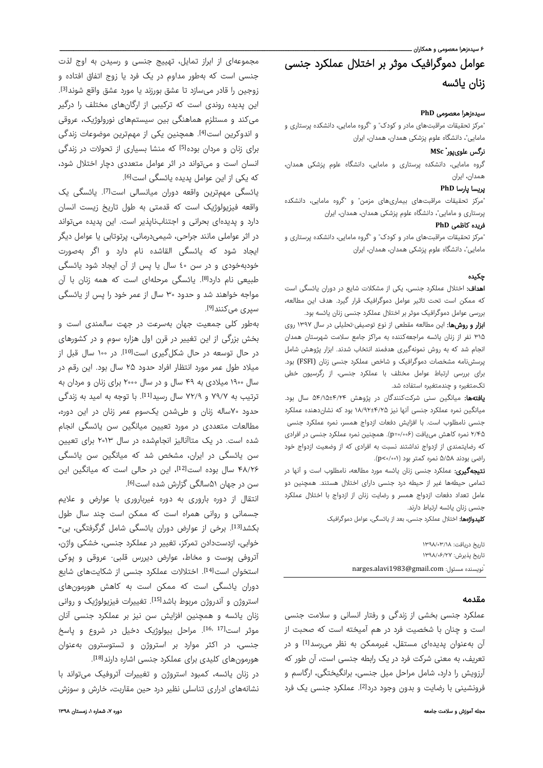# ء<br>۶ سیدہزھرا معصومی و ھمکاران ــ عوامل دموگرافیک موثر بر اختلال عملکرد جنسی زنان یائسه

# سیدهزهرا معصومی **PhD**

"مرکز تحقیقات مراقبتهای مادر و کودک" و "گروه مامایی، دانشکده پرستاری و مامایی"، دانشگاه علوم پزشکی همدان، همدان، ایران

# **MSc** \* نرگس علویپور

گروه مامایی، دانشکده پرستاری و مامایی، دانشگاه علوم پزشکی همدان، همدان، ایران

# پریسا پارسا **PhD**

"مرکز تحقیقات مراقبتهای بیماریهای مزمن" و "گروه مامایی، دانشکده پرستاری و مامایی"، دانشگاه علوم پزشکی همدان، همدان، ایران

# فریده کاظمی **PhD**

"مرکز تحقیقات مراقبتهای مادر و کودک" و "گروه مامایی، دانشکده پرستاری و مامایی"، دانشگاه علوم پزشکی همدان، همدان، ایران

# چکيده

اهداف: اختلال عملکرد جنسی، یکی از مشکلات شایع در دوران یائسگی است که ممکن است تحت تاثیر عوامل دموگرافیک قرار گیرد. هدف این مطالعه، بررسی عوامل دموگرافیک موثر بر اختلال عملکرد جنسی زنان یائسه بود.

ابزار و روشها: این مطالعه مقطعی از نوع توصیفی-تحلیلی در سال ۱۳۹۷ روی ۳۱۵ نفر از زنان یائسه مراجعهکننده به مراکز جامع سلامت شهرستان همدان انجام شد که به روش نمونهگیری هدفمند انتخاب شدند. ابزار پژوهش شامل پرسشنامه مشخصات دموگرافیک و شاخص عملکرد جنسی زنان (FSFI (بود. برای بررسی ارتباط عوامل مختلف با عملکرد جنسی، از رگرسیون خطی تکمتغیره و چندمتغیره استفاده شد.

**یافتهها:** میانگین سنی شرکتکنندگان در پژوهش ۴/۲۴±۵۴/۱۵ سال بود. میانگین نمره عملکرد جنسی آنها نیز ۱۸/۹۲±۴/۲۵ بود که نشاندهنده عملکرد جنسی نامطلوب است. با افزایش دفعات ازدواج همسر، نمره عملکرد جنسی ۲/۴۵ نمره کاهش مییافت (۰/۰۰۶=p(. همچنین نمره عملکرد جنسی در افرادی که رضایتمندی از ازدواج نداشتند نسبت به افرادی که از وضعیت ازدواج خود راضی بودند ۵/۵۸ نمره کمتر بود (۰/۰۰۱>p(.

نتیجهگیری: عملکرد جنسی زنان یائسه مورد مطالعه، نامطلوب است و آنها در تمامی حیطهها غیر از حیطه درد جنسی دارای اختلال هستند. همچنین دو عامل تعداد دفعات ازدواج همسر و رضایت زنان از ازدواج با اختلال عملکرد جنسی زنان یائسه ارتباط دارند.

کلیدواژهها: اختلال عملکرد جنسی، بعد از یائسگی، عوامل دموگرافیک

تاريخ دريافت: ۱۳۹۸/۰۳/۱۸ تاريخ پذيرش: ۱۳۹۸/۰۶/۲۷ \* narges.alavi1983@gmail.com :مسئول نويسنده

# مقدمه

عملکرد جنسی بخشی از زندگی و رفتار انسانی و سلامت جنسی است و چنان با شخصیت فرد در هم آمیخته است که صحبت از آن بهعنوان پدیدهای مستقل، غیرممکن به نظر میرسد<sup>[1]</sup> و در تعریف، به معنی شرکت فرد در یک رابطه جنسی است، آن طور که آرزویش را دارد، شامل مراحل میل جنسی، برانگیختگی، ارگاسم و فرونشینی با رضایت و بدون وجود درد<sup>[2]</sup>. عملکرد جنسی یک فرد

مجموعهای از ابراز تمایل، تهییج جنسی و رسیدن به اوج لذت جنسی است که بهطور مداوم در یک فرد یا زوج اتفاق افتاده و زوجین را قادر میسازد تا عشق بورزند یا مورد عشق واقع شوند<sup>[3]</sup>. این پدیده روندی است که ترکیبی از ارگانهای مختلف را درگیر میکند و مستلزم هماهنگی بین سیستمهای نورولوژیک، عروقی و اندوکرین است<sup>[4]</sup>. همچنین یکی از مهمترین موضوعات زندگی برای زنان و مردان بوده<sup>[5]</sup> که منشا بسیاری از تحولات در زندگی انسان است و میتواند در اثر عوامل متعددی دچار اختلال شود، که یکی از این عوامل پدیده یائسگی است<sup>[6]</sup>.

یائسگی مهمترین واقعه دوران میانسالی است<sup>71</sup>. یائسگی یک واقعه فیزیولوژیک است که قدمتی به طول تاریخ زیست انسان دارد و پدیدهای بحرانی و اجتنابناپذیر است. این پدیده میتواند در اثر عواملی مانند جراحی، شیمیدرمانی، پرتوتابی یا عوامل دیگر ایجاد شود که یائسگی القاشده نام دارد و اگر بهصورت خودبهخودی و در سن ٤٠ سال یا پس از آن ایجاد شود یائسگی طبیعی نام دارد[8]. یائسگی مرحلهای است که همه زنان با آن مواجه خواهند شد و حدود ۳۰ سال از عمر خود را پس از یائسگی سپری می<sub>)</sub>کنند<sup>[9]</sup>.

بهطور کلی جمعیت جهان بهسرعت در جهت سالمندی است و بخش بزرگی از این تغییر در قرن اول هزاره سوم و در کشورهای در حال توسعه در حال شکلگیری است<sup>[10]</sup>. در ۱۰۰ سال قبل از میلاد طول عمر مورد انتظار افراد حدود ۲۵ سال بود. این رقم در سال ۱۹۰۰ میلادی به ۴۹ سال و در سال ۲۰۰۰ برای زنان و مردان به ترتیب به ۷۹/۷ و ۷۲/۹ سال رسید<sup>[11]</sup>. با توجه به امید به زندگی حدود ۷۰ساله زنان و طیشدن یکسوم عمر زنان در این دوره، مطالعات متعددی در مورد تعیین میانگین سن یائسگی انجام شده است. در یک متاآنالیز انجامشده در سال ۲۰۱۳ برای تعیین سن یائسگی در ایران، مشخص شد که میانگین سن یائسگی ۴۸/۲۶ سال بوده است<sup>[12]</sup>، این در حالی است که میانگین این سن در جهان ۵۱سالگی گزارش شده است[6].

انتقال از دوره باروری به دوره غیرباروری با عوارض و علایم جسمانی و روانی همراه است که ممکن است چند سال طول بکشد<sup>[13]</sup>. برخی از عوارض دوران یائسگی شامل گرگرفتگی، بی-خوابی، ازدستدادن تمرکز، تغییر در عملکرد جنسی، خشکی واژن، آتروفی پوست و مخاط، عوارض دیررس قلبی- عروقی و پوکی استخوان است<sup>[14]</sup>. اختلالات عملکرد جنسی از شکایتهای شایع دوران یائسگی است که ممکن است به کاهش هورمونهای استروژن و آندروژن مربوط باشد<sup>[15]</sup>. تغییرات فیزیولوژیک و روانی زنان یائسه و همچنین افزایش سن نیز بر عملکرد جنسی آنان موثر است<sup>[16, 17]</sup>. مراحل بیولوژیک دخیل در شروع و پاسخ جنسی، در اکثر موارد بر استروژن و تستوسترون بهعنوان هورمونهای کلیدی برای عملکرد جنسی اشاره دارند[18].

در زنان يائسه، کمبود استروژن و تغییرات آتروفیک میتواند با نشانههای ادراری تناسلی نظیر درد حین مقاربت، خارش و سوزش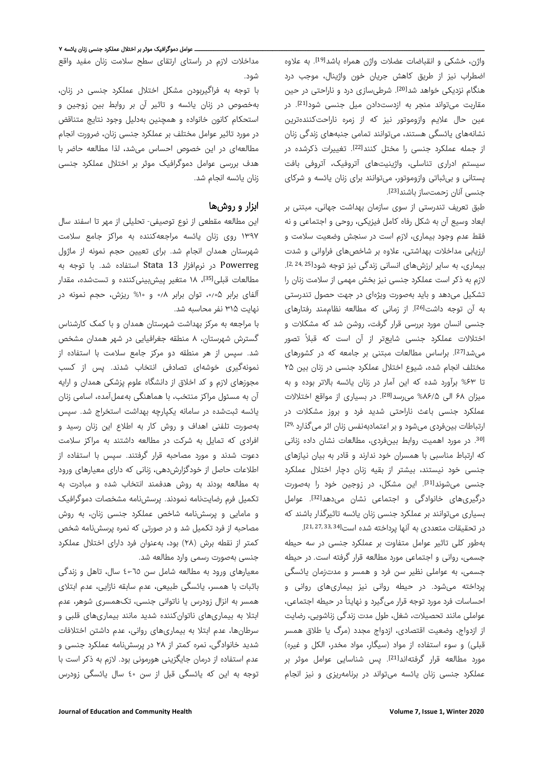واژن، خشکی و انقباضات عضلات واژن همراه باشد<sup>[19]</sup>. به علاوه اضطراب نیز از طریق کاهش جریان خون واژینال، موجب درد هنگام نزدیکی خواهد شد[20]. شرطیسازی درد و ناراحتی در حین مقاربت میتواند منجر به ازدستدادن میل جنسی شود<sup>[21]</sup>. در عین حال علايم وازوموتور نیز که از زمره ناراحتکنندهترین نشانههای یائسگی هستند، میتوانند تمامی جنبههای زندگی زنان از جمله عملکرد جنسی را مختل کنند<sup>[22]</sup>. تغییرات ذکرشده در سیستم ادراری تناسلی، واژینیتهای آتروفیک، آتروفی بافت پستانی و بیثباتی وازوموتور، میتوانند برای زنان یائسه و شرکای جنسی آنان زحمتساز باشند[23].

طبق تعریف تندرستی از سوی سازمان بهداشت جهانی، مبتنی بر ابعاد وسیع آن به شکل رفاه کامل فیزیکی، روحی و اجتماعی و نه فقط عدم وجود بیماری، لازم است در سنجش وضعیت سلامت و ارزیابی مداخلات بهداشتی، علاوه بر شاخصهای فراوانی و شدت . [25 24, 2,] بیماری، به سایر ارزشهای انسانی زندگی نیز توجه شود لازم به ذکر است عملکرد جنسی نیز بخش مهمی از سلامت زنان را تشکیل میدهد و باید بهصورت ویژهای در جهت حصول تندرستی به آن توجه داشت<sup>[26]</sup>. از زمانی که مطالعه نظاممند رفتارهای جنسی انسان مورد بررسی قرار گرفت، روشن شد که مشکلات و اختلالات عملکرد جنسی شایعتر از آن است که قبلاً تصور میشد<sup>[27]</sup>. براساس مطالعات مبتنی بر جامعه که در کشورهای مختلف انجام شده، شیوع اختلال عملکرد جنسی در زنان بین ۲۵ تا %۶۳ برآورد شده که این آمار در زنان یائسه بالاتر بوده و به میزان ۶۸ الی ۸۶/۵% میرسد<sup>[28]</sup>. در بسیاری از مواقع اختلالات عملکرد جنسی باعث ناراحتی شدید فرد و بروز مشکلات در ارتباطات بینفردی میشود و بر اعتمادبهنفس زنان اثر میگذارد<sup>29,</sup> 301. در مورد اهمیت روابط بینفردی، مطالعات نشان داده زنانی که ارتباط مناسبی با همسران خود ندارند و قادر به بیان نیازهای جنسی خود نیستند، بیشتر از بقیه زنان دچار اختلال عملکرد جنسی میشوند[31]. این مشکل، در زوجین خود را بهصورت درگیری،های خانوادگی و اجتماعی نشان می،دهد<sup>[32]</sup>. عوامل بسیاری میتوانند بر عملکرد جنسی زنان یائسه تاثیرگذار باشند که . [34 33, 27, 21,] در تحقیقات متعددی به آنها پرداخته شده است

بهطور کلی تاثیر عوامل متفاوت بر عملکرد جنسی در سه حیطه جسمی، روانی و اجتماعی مورد مطالعه قرار گرفته است. در حیطه جسمی، به عواملی نظیر سن فرد و همسر و مدتزمان یائسگی پرداخته میشود. در حیطه روانی نیز بیماریهای روانی و احساسات فرد مورد توجه قرار میگیرد و نهایتاً در حیطه اجتماعی، عواملی مانند تحصیلات، شغل، طول مدت زندگی زناشویی، رضایت از ازدواج، وضعیت اقتصادی، ازدواج مجدد (مرگ یا طلاق همسر قبلی) و سوء استفاده از مواد (سیگار، مواد مخدر، الکل و غیره) مورد مطالعه قرار گرفتهاند<sup>[21]</sup>. پس شناسایی عوامل موثر بر عملکرد جنسی زنان یائسه میتواند در برنامهریزی و نیز انجام

مداخلات لازم در راستای ارتقای سطح سلامت زنان مفید واقع شود.

با توجه به فراگیربودن مشکل اختلال عملکرد جنسی در زنان، بهخصوص در زنان یائسه و تاثیر آن بر روابط بین زوجین و استحکام کانون خانواده و همچنین بهدلیل وجود نتایج متناقض در مورد تاثیر عوامل مختلف بر عملکرد جنسی زنان، ضرورت انجام مطالعهای در این خصوص احساس میشد، لذا مطالعه حاضر با هدف بررسی عوامل دموگرافیک موثر بر اختلال عملکرد جنسی زنان یائسه انجام شد.

# ابزار و روشها

این مطالعه مقطعی از نوع توصیفی- تحلیلی از مهر تا اسفند سال ۱۳۹۷ روی زنان یائسه مراجعهکننده به مراکز جامع سلامت شهرستان همدان انجام شد. برای تعیین حجم نمونه از ماژول Powerreg در نرمافزار 13 Stata استفاده شد. با توجه به مطالعات قبلی<sup>[35]</sup>، ۱۸ متغیر پیشبینیکننده و تستشده، مقدار آلفای برابر ،۰٫۰۵ توان برابر ۰٫۸ و %۱۰ ریزش، حجم نمونه در نهایت ۳۱۵ نفر محاسبه شد.

با مراجعه به مرکز بهداشت شهرستان همدان و با کمک کارشناس گسترش شهرستان، ۸ منطقه جغرافیایی در شهر همدان مشخص شد. سپس از هر منطقه دو مرکز جامع سلامت با استفاده از نمونهگیری خوشهای تصادفی انتخاب شدند. پس از کسب مجوزهای لازم و کد اخلاق از دانشگاه علوم پزشکی همدان و ارایه آن به مسئول مراکز منتخب، با هماهنگی بهعملآمده، اسامی زنان یائسه ثبتشده در سامانه یکپارچه بهداشت استخراج شد. سپس بهصورت تلفنی اهداف و روش کار به اطلاع این زنان رسید و افرادی که تمایل به شرکت در مطالعه داشتند به مراکز سلامت دعوت شدند و مورد مصاحبه قرار گرفتند. سپس با استفاده از اطلاعات حاصل از خودگزارشدهی، زنانی که دارای معیارهای ورود به مطالعه بودند به روش هدفمند انتخاب شده و مبادرت به تکمیل فرم رضایتنامه نمودند. پرسشنامه مشخصات دموگرافیک و مامایی و پرسشنامه شاخص عملکرد جنسی زنان، به روش مصاحبه از فرد تکمیل شد و در صورتی که نمره پرسشنامه شخص کمتر از نقطه برش (۲۸) بود، بهعنوان فرد دارای اختلال عملکرد جنسی بهصورت رسمی وارد مطالعه شد.

معیارهای ورود به مطالعه شامل سن ٤٠-٦٥ سال، تاهل و زندگی باثبات با همسر، یائسگی طبیعی، عدم سابقه نازایی، عدم ابتلای همسر به انزال زودرس یا ناتوانی جنسی، تکهمسری شوهر، عدم ابتلا به بیماریهای ناتوانکننده شدید مانند بیماریهای قلبی و سرطانها، عدم ابتلا به بیماریهای روانی، عدم داشتن اختلافات شدید خانوادگی، نمره کمتر از ٢٨ در پرسشنامه عملکرد جنسی و عدم استفاده از درمان جایگزینی هورمونی بود. لازم به ذکر است با توجه به این که یائسگی قبل از سن ٤٠ سال یائسگی زودرس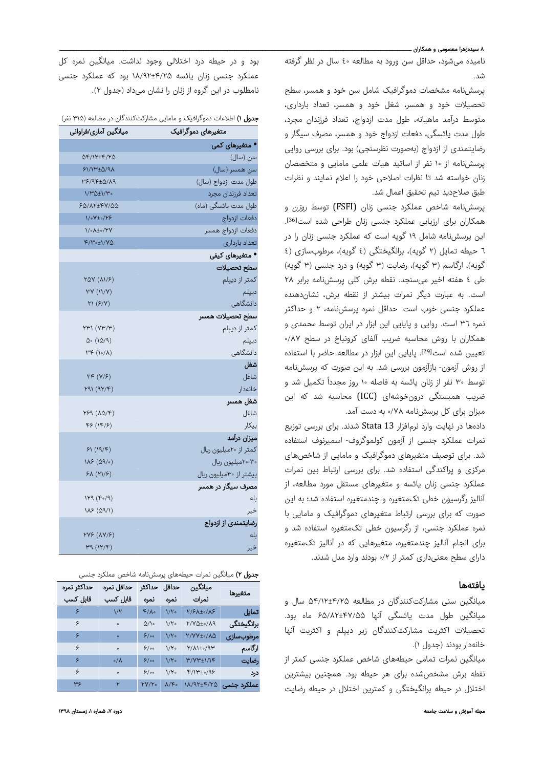## ۸ سیدهزهرا معصومی و همکاران <mark>ـ</mark>

نامیده میشود، حداقل سن ورود به مطالعه ٤٠ سال در نظر گرفته شد.

پرسشنامه مشخصات دموگرافیک شامل سن خود و همسر، سطح تحصیلات خود و همسر، شغل خود و همسر، تعداد بارداری، متوسط درآمد ماهیانه، طول مدت ازدواج، تعداد فرزندان مجرد، طول مدت یائسگی، دفعات ازدواج خود و همسر، مصرف سیگار و رضایتمندی از ازدواج (بهصورت نظرسنجی) بود. برای بررسی روایی پرسشنامه از ١٠ نفر از اساتید هیات علمی مامایی و متخصصان زنان خواسته شد تا نظرات اصلاحی خود را اعلام نمایند و نظرات طبق صلاحدید تیم تحقیق اعمال شد.

پرسشنامه شاخص عملکرد جنسی زنان (FSFI) توسط *روزن* و همکاران برای ارزیابی عملکرد جنسی زنان طراحی شده است[36]. این پرسشنامه شامل ١٩ گویه است که عملکرد جنسی زنان را در ٦ حیطه تمایل (٢ گویه)، برانگیختگی (٤ گویه)، مرطوبسازی (٤ گویه)، ارگاسم (٣ گویه)، رضایت (٣ گویه) و درد جنسی (٣ گویه) طی ٤ هفته اخیر میسنجد. نقطه برش کلی پرسشنامه برابر ٢٨ است. به عبارت دیگر نمرات بیشتر از نقطه برش، نشاندهنده عملکرد جنسی خوب است. حداقل نمره پرسشنامه، ٢ و حداکثر نمره ٣٦ است. روایی و پایایی این ابزار در ایران توسط محمدی و همکاران با روش محاسبه ضریب آلفای کرونباخ در سطح ٠/٨٧ تعیین شده است<sup>[29]</sup>. پایایی این ابزار در مطالعه حاضر با استفاده از روش آزمون- بازآزمون بررسی شد. به این صورت که پرسشنامه ً توسط ۳۰ نفر از زنان یائسه به فاصله ۱۰ تکمیل شد و روز مجددا ضریب همبستگی درونخوشهای (ICC (محاسبه شد که این میزان برای کل پرسشنامه ۰/۷۸ به دست آمد.

دادهها در نهایت وارد نرمافزار 13 Stata شدند. برای بررسی توزیع نمرات عملکرد جنسی از آزمون کولموگروف- اسمیرنوف استفاده شد. برای توصیف متغیرهای دموگرافیک و مامایی از شاخصهای مرکزی و پراکندگی استفاده شد. برای بررسی ارتباط بین نمرات عملکرد جنسی زنان یائسه و متغیرهای مستقل مورد مطالعه، از آنالیز رگرسیون خطی تکمتغیره و چندمتغیره استفاده شد؛ به این صورت که برای بررسی ارتباط متغیرهای دموگرافیک و مامایی با نمره عملکرد جنسی، از رگرسیون خطی تکمتغیره استفاده شد و برای انجام آنالیز چندمتغیره، متغیرهایی که در آنالیز تکمتغیره دارای سطح معنیداری کمتر از ۰/۲ بودند وارد مدل شدند.

# یافتهها

میانگین سنی مشارکتکنندگان در مطالعه ۵۴/۱۲±۴/۲۵ سال و میانگین طول مدت یائسگی آنها ۶۵/۸۲±۴۷/۵۵ ماه بود. تحصیلات اکثریت مشارکتکنندگان زیر دیپلم و اکثریت آنها خانهدار بودند (جدول ۱).

میانگین نمرات تمامی حیطههای شاخص عملکرد جنسی کمتر از نقطه برش مشخصشده برای هر حیطه بود. همچنین بیشترین اختلال در حیطه برانگیختگی و کمترین اختلال در حیطه رضایت

بود و در حیطه درد اختلالی وجود نداشت. میانگین نمره کل عملکرد جنسی زنان یائسه ۱۸/۹۲±۴/۲۵ بود که عملکرد جنسی نامطلوب در این گروه از زنان را نشان میداد (جدول ۲).

جدول ۱) اطلاعات دموگرافیک و مامایی مشارکتکنندگان در مطالعه (۳۱۵ نفر)

| میانگین آماری/فراوانی       | متغیرهای دموگرافیک                 |
|-----------------------------|------------------------------------|
|                             | • متغیرهای کمی                     |
| 58/17±4/75                  | سن (سال)                           |
| $F1/IP \pm \Delta/9\Lambda$ | سن همسر (سال)                      |
| PS/9F±0/19                  | طول مدت ازدواج (سال)               |
| <b>1/٣٥±1/٣.</b>            | تعداد فرزندان مجرد                 |
| <b>FQ/AY±FY/QQ</b>          | طول مدت یائسگی (ماه)               |
| 1/0V±0/Y&                   | دفعات ازدواج                       |
| Y/oA±o/YY                   | دفعات ازدواج همسر                  |
| $F/V \circ \pm 1/V \Delta$  | تعداد باردارى                      |
|                             | ● متغیرهای کیفی                    |
|                             | سطح تحصيلات                        |
| YAY(AY/5)                   | كمتر از ديپلم                      |
| YY (11/Y)                   | ديپلم                              |
| $Y1(\frac{5}{Y})$           | دانشگاهی                           |
|                             | سطح تحصيلات همسر                   |
| YYY (YY/Y)                  | كمتر از ديپلم                      |
| $\Delta \circ (1\Delta/9)$  | ديپلم                              |
| $\forall F(\lambda)$        | دانشگاهی                           |
|                             | شغل                                |
| $YF(Y/\mathcal{F})$         | شاغل                               |
| Y91 (9Y/F)                  | خانەدار                            |
|                             | شغل همسر                           |
| Y59 (AQ/F)                  | شاغل                               |
| FF(NF)                      | بيكار                              |
|                             | ميزان درآمد                        |
| 51(19/F)                    | كمتر از ٢٠ميليون ريال              |
| 115 (09)                    | ۲۰-۲۰میلیون ریال                   |
| $5\lambda (Y1/5)$           | بیشتر از <sup>۳</sup> ۰میلیون ریال |
|                             | مصرف سیگار در همسر                 |
| $119 (F_0/9)$               | بله                                |
| $1\lambda$ ۶ (۵۹/1)         | خير                                |
|                             | رضایتمندی از ازدواج                |
| <b>YYS (AY/S)</b>           | بله                                |
| H9(NY)                      | خیر                                |

جدول ۲) میانگین نمرات حیطههای پرسشنامه شاخص عملکرد جنسی

|                        | ميانگين                  |                          | حداقل حداكثر  | حداقل نمره      | حداكثر نمره |
|------------------------|--------------------------|--------------------------|---------------|-----------------|-------------|
| متغيرها                | نمرات                    | نمره                     | نمره          | قابل کسب        | قابل کسب    |
| تمایل                  | 7/۶۸±۰/۸۶                | ۱/۲۰                     | $k/\gamma$ °  | $1/\Upsilon$    | ۶           |
| برانگیختگی             | 7/70±0/ <mark>1</mark> 9 | ۱/۲۰                     | ۵/۱۰          | $\circ$         | ۶           |
| مرطوبسازي              | ۲/۷۷±۰/۸۵                | ۱/۲۰                     | 6/ء           | $\bullet$       | ۶           |
| ارگاسم                 | ۲/۸۱±۰/۹۳                | ۱/۲۰                     | 6ه/۶          | $\circ$         | ۶           |
| رضايت                  | ۳/۷۳±۱/۱۴                | ۱/۲۰                     | 6ه/۶          | $\circ/\lambda$ | ۶           |
| درد                    | ۴/۱۳±۰/۹۶                | $1/Y$ .                  | ۶/۰۰          | $\circ$         | ۶           |
| عملکرد جنسی ۱۸/۹۲±۴/۲۵ |                          | $\lambda/\mathfrak{S}$ 。 | <b>۲</b> ۷/۲۰ | ۲               | ٣۶          |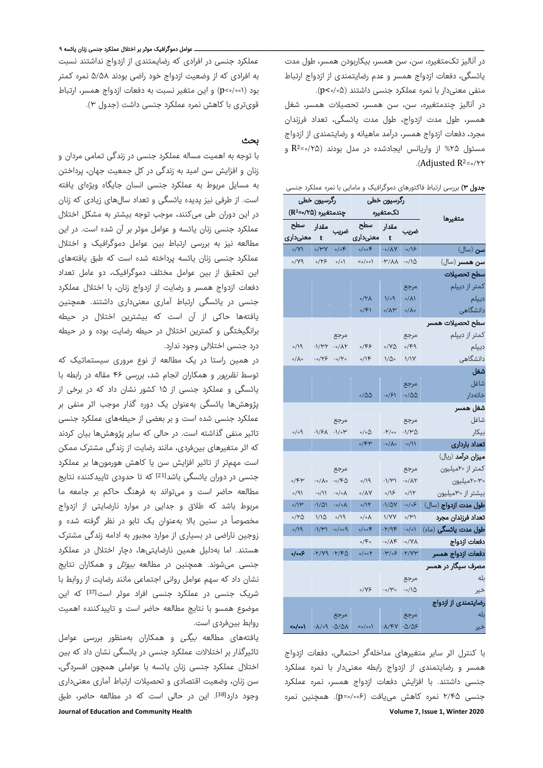در آنالیز تکمتغیره، سن، سن همسر، بیکاربودن همسر، طول مدت یائسگی، دفعات ازدواج همسر و عدم رضایتمندی از ازدواج ارتباط منفی معنیدار با نمره عملکرد جنسی داشتند (۰/۰۵>p(.

در آنالیز چندمتغیره، سن، سن همسر، تحصیلات همسر، شغل همسر، طول مدت ازدواج، طول مدت یائسگی، تعداد فرزندان مجرد، دفعات ازدواج همسر، درآمد ماهیانه و رضایتمندی از ازدواج و 2R مسئول %۲۵ از واریانس ایجادشده در مدل بودند (۰/۲۵= =۰/۲۲ Adjusted R2 .(

| <b>جدول ۳)</b> بررسی ارتباط فاکتورهای دموگرافیک و مامایی با نمره عملکرد جنسی |                              |                        |                                                  |                                 |                   |                    |  |  |  |
|------------------------------------------------------------------------------|------------------------------|------------------------|--------------------------------------------------|---------------------------------|-------------------|--------------------|--|--|--|
|                                                                              | رگرسیون خطی                  |                        |                                                  | رگرسیون خطی                     |                   |                    |  |  |  |
| متغيرها                                                                      |                              |                        |                                                  |                                 |                   |                    |  |  |  |
|                                                                              | مقدار سطح<br>خریب t          |                        |                                                  | .<br>ضریب                       | مقدار             | سطح                |  |  |  |
|                                                                              |                              |                        |                                                  |                                 |                   | t معنیداری         |  |  |  |
| <b>سن</b> (سال)                                                              | $-0/15$                      |                        | $\sim$ /A/( $\sim$ - $\sim$ /A/                  | $\circ/\circ \mathcal{F}$       | $\gamma \gamma$   | $\sqrt{V}$         |  |  |  |
| .<br><b>سن همسر</b> (سال)                                                    |                              |                        | $\langle \circ \rangle$ /00) - $\langle \rangle$ | $\circ/\circ$                   | $\circ$ /۲۶       | $\mathcal{O}(Y)$   |  |  |  |
| سطح تحصيلات                                                                  |                              |                        |                                                  |                                 |                   |                    |  |  |  |
| كمتر از ديپلم                                                                | مرجع                         |                        |                                                  |                                 |                   |                    |  |  |  |
| ديپلم                                                                        | $\circ/\lambda$              | $1/\circ 9$            | $\sqrt{10}$                                      |                                 |                   |                    |  |  |  |
| دانشگاهی                                                                     | $\circ/\lambda$              | $\sqrt{\Lambda}$       | $\circ$ /۴۱                                      |                                 |                   |                    |  |  |  |
| سطح تحصيلات همسر                                                             |                              |                        |                                                  |                                 |                   |                    |  |  |  |
| كمتر از ديپلم                                                                | مرجع                         |                        |                                                  | مرجع                            |                   |                    |  |  |  |
| ديپلم                                                                        | $\circ$ /۴۹                  | $\circ$ /YQ            | ۰/۴۶                                             | $-\circ/\Lambda$ Y              | $-1/\mu$          | $\rho/\Omega$      |  |  |  |
| دانشگاهی                                                                     | 1/1Y                         | ۱⁄۵۰                   | 0/15                                             | $-\circ/\Upsilon$               | $-\circ/\gamma$ ۶ | $\circ/\Lambda$ 。  |  |  |  |
| شغل                                                                          |                              |                        |                                                  |                                 |                   |                    |  |  |  |
| شاغل                                                                         | مرجع                         |                        |                                                  |                                 |                   |                    |  |  |  |
| خانەدار                                                                      | -0/00                        | /۶/ه-                  | -100                                             |                                 |                   |                    |  |  |  |
| شغل همسر                                                                     |                              |                        |                                                  |                                 |                   |                    |  |  |  |
| شاغل                                                                         | مرجع                         |                        |                                                  | مرجع                            |                   |                    |  |  |  |
| بيكار                                                                        | $-1/\mu\Delta$               | هγ/-                   | ۵/ه/ه                                            | $-1/5\lambda - 1/\circ \mu$     |                   | $\rho_\circ/\circ$ |  |  |  |
| تعداد باردارى                                                                | $-0/11$                      | $-\circ/\lambda \circ$ | $\circ$ /۴۳                                      |                                 |                   |                    |  |  |  |
| ميزان درآمد (ريال)                                                           |                              |                        |                                                  |                                 |                   |                    |  |  |  |
| كمتر از ٢٠ميليون                                                             | مرجع                         |                        |                                                  | مرجع                            |                   |                    |  |  |  |
| ۲۰-۲۰میلیون                                                                  | $-o/\Lambda Y$               | $-1/\mathcal{M}$       | $\rho/19$                                        | -0/FQ                           | -o/人o             | ۴۳،                |  |  |  |
| بیشتر از ۳۰میلیون                                                            | 0/11                         | $\circ / \backslash$ ۶ | $\circ/\lambda\mathrm{V}$                        | -0/0A                           | -0/11             | $\circ/9$          |  |  |  |
| طول مدت ازدواج (سال)                                                         | $-\circ/\circ$ ۶             | -1/47                  | $\sqrt{11}$                                      | $-\circ/\circ\Lambda$           | ۱/۵۱-             | ۱۱۳)               |  |  |  |
| تعداد فرزندان مجرد                                                           | $\circ/\mathcal{M}\setminus$ | <b>\/YY</b>            | $\circ/\circ\Lambda$                             | $\rho/\gamma$                   | 1/10              | ۲۵/۰               |  |  |  |
| <b>طول مدت یائسگی</b> (ماه)                                                  | $-o/o$                       | $-Y/9F$                | $\circ/\circ \circ \mathfrak{S}$                 | $P^{\circ \circ / \circ \circ}$ | $-\frac{1}{4}$    | $\rho/\sqrt{9}$    |  |  |  |
| دفعات ازدواج                                                                 | $-N$ / $\vee$                | ۸۴⊳-                   | $\circ$ /۴ $\circ$                               |                                 |                   |                    |  |  |  |
| دفعات ازدواج همسر                                                            | $-Y/VP$                      | $-W/\circ 5$           | $\circ/\circ \circ Y$                            | $-Y/Y9 - Y/FQ$                  |                   | ۶۰۰/۰              |  |  |  |
| مصرف سیگار در همسر                                                           |                              |                        |                                                  |                                 |                   |                    |  |  |  |
| بله                                                                          | مرجع                         |                        |                                                  |                                 |                   |                    |  |  |  |
| خير                                                                          | $-0/\Delta$                  | $-o/V$                 | $0/\gamma$ ۶                                     |                                 |                   |                    |  |  |  |
| رضایتمندی از ازدواج                                                          |                              |                        |                                                  |                                 |                   |                    |  |  |  |
| بله                                                                          | مرجع                         |                        |                                                  | مرجع                            |                   |                    |  |  |  |

Journal of Education and Community Health 1999 and 1999 and 1999 and 1999 and 1999 and 1999 and 1999 and 1999 and 1999 and 1999 and 1999 and 1999 and 1999 and 1999 and 1999 and 1999 and 1999 and 1999 and 1999 and 1999 and با کنترل اثر سایر متغیرهای مداخلهگر احتمالی، دفعات ازدواج همسر و رضایتمندی از ازدواج رابطه معنیدار با نمره عملکرد جنسی داشتند. با افزایش دفعات ازدواج همسر، نمره عملکرد جنسی ۲/۴۵ نمره کاهش مییافت (۰/۰۰۶=p(. همچنین نمره

 $\leq$  -1/09 -0/01  $\leq$  -0/00 -1/4/68

## ـــــــــــــــــــــــــــــــــــــــــــــــــــــــــــــــــــــــــــــــــــــــــــــــــــــــــــــــــــــــــــــــــــــــــــــــــــــــــــــــــــــــ عوامل دموگرافیک موثر بر اختلال عملکرد جنسی زنان یائسه ۹

عملکرد جنسی در افرادی که رضایمتندی از ازدواج نداشتند نسبت به افرادی که از وضعیت ازدواج خود راضی بودند ۵/۵۸ نمره کمتر بود (۰/۰۰۱>p (و این متغیر نسبت به دفعات ازدواج همسر، ارتباط قویتری با کاهش نمره عملکرد جنسی داشت (جدول ۳).

#### بحث

با توجه به اهمیت مساله عملکرد جنسی در زندگی تمامی مردان و زنان و افزایش سن امید به زندگی در کل جمعیت جهان، پرداختن به مسایل مربوط به عملکرد جنسی انسان جایگاه ویژهای یافته است. از طرفی نیز پدیده یائسگی و تعداد سالهای زیادی که زنان در این دوران طی میکنند، موجب توجه بیشتر به مشکل اختلال عملکرد جنسی زنان یائسه و عوامل موثر بر آن شده است. در این مطالعه نیز به بررسی ارتباط بین عوامل دموگرافیک و اختلال عملکرد جنسی زنان یائسه پرداخته شده است که طبق یافتههای این تحقیق از بین عوامل مختلف دموگرافیک، دو عامل تعداد دفعات ازدواج همسر و رضایت از ازدواج زنان، با اختلال عملکرد جنسی در یائسگی ارتباط آماری معنیداری داشتند. همچنین یافتهها حاکی از آن است که بیشترین اختلال در حیطه برانگیختگی و کمترین اختلال در حیطه رضایت بوده و در حیطه درد جنسی اختلالی وجود ندارد.

در همین راستا در یک مطالعه از نوع مروری سیستماتیک که توسط نظرپور و همکاران انجام شد، بررسی ۴۶ مقاله در رابطه با یائسگی و عملکرد جنسی از ۱۵ کشور نشان داد که در برخی از پژوهشها یائسگی بهعنوان یک دوره گذار موجب اثر منفی بر عملکرد جنسی شده است و بر بعضی از حیطههای عملکرد جنسی تاثیر منفی گذاشته است. در حالی که سایر پژوهشها بیان کردند که اثر متغیرهای بینفردی، مانند رضایت از زندگی مشترک ممکن است مهمتر از تاثیر افزایش سن یا کاهش هورمونها بر عملکرد جنسی در دوران یائسگی باشد[21] که تا حدودی تاییدکننده نتایج مطالعه حاضر است و میتواند به فرهنگ حاکم بر جامعه ما مربوط باشد که طلاق و جدایی در موارد نارضایتی از ازدواج مخصوصاً در سنین بالا بهعنوان یک تابو در نظر گرفته شده و زوجین ناراضی در بسیاری از موارد مجبور به ادامه زندگی مشترک هستند. اما بهدلیل همین نارضایتیها، دچار اختلال در عملکرد جنسی میشوند. همچنین در مطالعه *بیوتل* و همکاران نتایج نشان داد که سهم عوامل روانی اجتماعی مانند رضایت از روابط با شریک جنسی در عملکرد جنسی افراد موثر است[37] که این موضوع همسو با نتایج مطالعه حاضر است و تاییدکننده اهمیت روابط بینفردی است.

یافتههای مطالعه بیگی و همکاران بهمنظور بررسی عوامل تاثیرگذار بر اختلالات عملکرد جنسی در یائسگی نشان داد که بین اختلال عملکرد جنسی زنان یائسه با عواملی همچون افسردگی، سن زنان، وضعیت اقتصادی و تحصیلات ارتباط آماری معنیداری وجود دارد<sup>[38]</sup>. این در حالی است که در مطالعه حاضر، طبق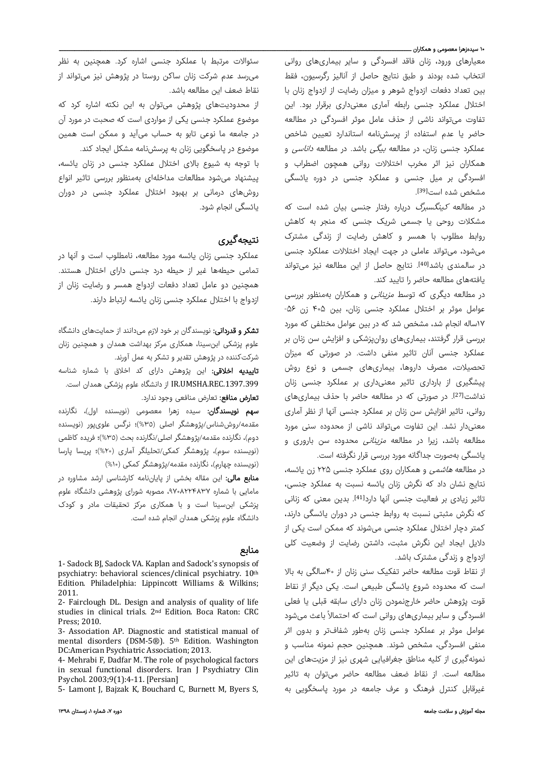#### ۱<mark>۰ سیدهزهرا معصومی و همکاران ــ</mark>ـــ

معیارهای ورود، زنان فاقد افسردگی و سایر بیماریهای روانی انتخاب شده بودند و طبق نتایج حاصل از آنالیز رگرسیون، فقط بین تعداد دفعات ازدواج شوهر و میزان رضایت از ازدواج زنان با اختلال عملکرد جنسی رابطه آماری معنیداری برقرار بود. این تفاوت میتواند ناشی از حذف عامل موثر افسردگی در مطالعه حاضر یا عدم استفاده از پرسشنامه استاندارد تعیین شاخص عملکرد جنسی زنان، در مطالعه بیگی باشد. در مطالعه داناسی و همکاران نیز اثر مخرب اختلالات روانی همچون اضطراب و افسردگی بر میل جنسی و عملکرد جنسی در دوره یائسگی مشخص شده است<sup>[39]</sup>.

در مطالعه کینگسبرگ درباره رفتار جنسی بیان شده است که مشکلات روحی یا جسمی شریک جنسی که منجر به کاهش روابط مطلوب با همسر و کاهش رضایت از زندگی مشترک میشود، میتواند عاملی در جهت ایجاد اختلالات عملکرد جنسی در سالمندی باشد<sup>[40]</sup>. نتایج حاصل از این مطالعه نیز میتواند یافتههای مطالعه حاضر را تایید کند.

در مطالعه دیگری که توسط *مزینانی* و همکاران بهمنظور بررسی عوامل موثر بر اختلال عملکرد جنسی زنان، بین ۴۰۵ زن -۵۶ ۱۷ساله انجام شد، مشخص شد که در بین عوامل مختلفی که مورد بررسی قرار گرفتند، بیماریهای روانپزشکی و افزایش سن زنان بر عملکرد جنسی آنان تاثیر منفی داشت. در صورتی که میزان تحصیلات، مصرف داروها، بیماریهای جسمی و نوع روش پیشگیری از بارداری تاثیر معنیداری بر عملکرد جنسی زنان نداشت<sup>[27]</sup>. در صورتی که در مطالعه حاضر با حذف بیماریهای روانی، تاثیر افزایش سن زنان بر عملکرد جنسی آنها از نظر آماری معنیدار نشد. این تفاوت میتواند ناشی از محدوده سنی مورد مطالعه باشد، زیرا در مطالعه *مزینانی* محدوده سن باروری و یائسگی بهصورت جداگانه مورد بررسی قرار نگرفته است.

در مطالعه هاشمی و همکاران روی عملکرد جنسی ۲۲۵ زن یائسه، نتایج نشان داد که نگرش زنان یائسه نسبت به عملکرد جنسی، تاثیر زیادی بر فعالیت جنسی آنها دارد<sup>[41]</sup>. بدین معنی که زنانی که نگرش مثبتی نسبت به روابط جنسی در دوران یائسگی دارند، کمتر دچار اختلال عملکرد جنسی میشوند که ممکن است یکی از دلایل ایجاد این نگرش مثبت، داشتن رضایت از وضعیت کلی ازدواج و زندگی مشترک باشد.

از نقاط قوت مطالعه حاضر تفکیک سنی زنان از ۴۰سالگی به بالا است که محدوده شروع یائسگی طبیعی است. یکی دیگر از نقاط قوت پژوهش حاضر خارجنمودن زنان دارای سابقه قبلی یا فعلی افسردگی و سایر بیماریهای روانی است که احتمالاً باعث میشود عوامل موثر بر عملکرد جنسی زنان بهطور شفافتر و بدون اثر منفی افسردگی، مشخص شوند. همچنین حجم نمونه مناسب و نمونهگیری از کلیه مناطق جغرافیایی شهری نیز از مزیتهای این مطالعه است. از نقاط ضعف مطالعه حاضر میتوان به تاثیر غیرقابل کنترل فرهنگ و عرف جامعه در مورد پاسخگویی به

سئوالات مرتبط با عملکرد جنسی اشاره کرد. همچنین به نظر میرسد عدم شرکت زنان ساکن روستا در پژوهش نیز میتواند از نقاط ضعف این مطالعه باشد.

از محدودیتهای پژوهش میتوان به این نکته اشاره کرد که موضوع عملکرد جنسی یکی از مواردی است که صحبت در مورد آن در جامعه ما نوعی تابو به حساب میآید و ممکن است همین موضوع در پاسخگویی زنان به پرسشنامه مشکل ایجاد کند.

با توجه به شیوع بالای اختلال عملکرد جنسی در زنان یائسه، پیشنهاد میشود مطالعات مداخلهای بهمنظور بررسی تاثیر انواع روشهای درمانی بر بهبود اختلال عملکرد جنسی در دوران یائسگی انجام شود.

# نتیجهگیری

عملکرد جنسی زنان یائسه مورد مطالعه، نامطلوب است و آنها در تمامی حیطهها غیر از حیطه درد جنسی دارای اختلال هستند. همچنین دو عامل تعداد دفعات ازدواج همسر و رضایت زنان از ازدواج با اختلال عملکرد جنسی زنان یائسه ارتباط دارند.

**تشکر و قدردانی:** نویسندگان بر خود لازم میدانند از حمایتهای دانشگاه علوم پزشکی ابنسینا، همکاری مرکز بهداشت همدان و همچنین زنان شرکتکننده در پژوهش تقدیر و تشکر به عمل آورند.

**تاییدیه اخلاقی:** این پژوهش دارای کد اخلاق با شماره شناسه .1397.399REC.UMSHA.IR از دانشگاه علوم پزشکی همدان است.

**تعارض منافع:** تعارض منافعی وجود ندارد.

سهم نویسندگان: سیده زهرا معصومی (نویسنده اول)، نگارنده مقدمه/روششناس/پژوهشگر اصلی (%٣٥)؛ نرگس علویپور (نویسنده دوم)، نگارنده مقدمه/پژوهشگر اصلی/نگارنده بحث (%٣٥)؛ فریده کاظمی (نویسنده سوم)، پژوهشگر کمکی/تحلیلگر آماری (%٢٠)؛ پریسا پارسا (نویسنده چهارم)، نگارنده مقدمه/پژوهشگر کمکی (%١٠)

م**نابع مالی:** این مقاله بخشی از پایاننامه کارشناسی ارشد مشاوره در مامایی با شماره ،۹۷۰۸۲۲۴۸۳۷ مصوبه شورای پژوهشی دانشگاه علوم پزشکی ابنسینا است و با همکاری مرکز تحقیقات مادر و کودک دانشگاه علوم پزشکی همدان انجام شده است.

### منابع

2- Fairclough DL. Design and analysis of quality of life studies in clinical trials. 2<sup>nd</sup> Edition. Boca Raton: CRC Press; 2010.

3- Association AP. Diagnostic and statistical manual of mental disorders (DSM-5®). 5<sup>th</sup> Edition. Washington DC:American Psychiatric Association; 2013.

4- Mehrabi F, Dadfar M. The role of psychological factors in sexual functional disorders. Iran J Psychiatry Clin Psychol. 2003;9(1):4-11. [Persian]

5- Lamont J, Bajzak K, Bouchard C, Burnett M, Byers S,

<sup>1-</sup> Sadock BJ, Sadock VA. Kaplan and Sadock's synopsis of psychiatry: behavioral sciences/clinical psychiatry. 10<sup>th</sup> Edition. Philadelphia: Lippincott Williams & Wilkins; 2011.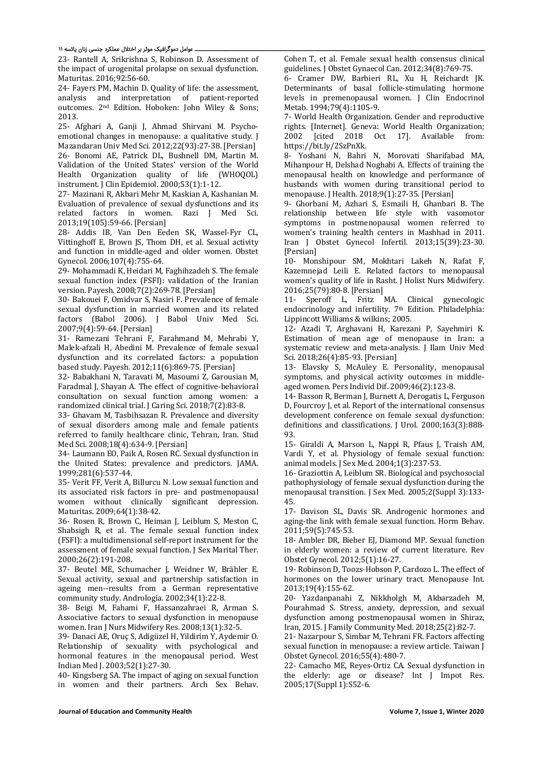#### ـ عوامل دموگرافیک موثر بر اختلال عملکرد جنسی زنان یائسه ۱۱

23- Rantell A, Srikrishna S, Robinson D. Assessment of the impact of urogenital prolapse on sexual dysfunction. Maturitas. 2016;92:56-60.

24- Fayers PM, Machin D. Quality of life: the assessment, analysis and interpretation of patient‐reported outcomes. 2<sup>nd</sup> Edition. Hoboken: John Wiley & Sons; 2013. 

25- Afghari A, Ganji J, Ahmad Shirvani M. Psychoemotional changes in menopause: a qualitative study. I Mazandaran Univ Med Sci. 2012;22(93):27-38. [Persian] 26‐ Bonomi AE, Patrick DL, Bushnell DM, Martin M. Validation of the United States' version of the World Health Organization quality of life (WHOQOL) instrument. J Clin Epidemiol. 2000;53(1):1-12.

27- Mazinani R, Akbari Mehr M, Kaskian A, Kashanian M. Evaluation of prevalence of sexual dysfunctions and its related factors in women. Razi J Med Sci. 2013;19(105):59‐66. [Persian] 

28- Addis IB, Van Den Eeden SK, Wassel-Fyr CL, Vittinghoff E, Brown JS, Thom DH, et al. Sexual activity and function in middle-aged and older women. Obstet Gynecol. 2006;107(4):755‐64. 

29- Mohammadi K, Heidari M, Faghihzadeh S. The female sexual function index (FSFI): validation of the Iranian version. Payesh. 2008;7(2):269-78. [Persian]

30- Bakouei F, Omidvar S, Nasiri F, Prevalence of female sexual dysfunction in married women and its related factors (Babol 2006). J Babol Univ Med Sci. 2007;9(4):59-64. [Persian]

31- Ramezani Tehrani F, Farahmand M, Mehrabi Y, Malek-afzali H, Abedini M. Prevalence of female sexual dysfunction and its correlated factors: a population based study. Payesh. 2012;11(6):869-75. [Persian]

32- Babakhani N, Taravati M, Masoumi Z, Garousian M, Faradmal J, Shayan A. The effect of cognitive-behavioral consultation on sexual function among women: a randomized clinical trial. J Caring Sci. 2018;7(2):83-8.

33- Ghavam M. Tasbihsazan R. Prevalence and diversity of sexual disorders among male and female patients referred to family healthcare clinic, Tehran, Iran. Stud Med Sci. 2008;18(4):634-9. [Persian]

34- Laumann EO, Paik A, Rosen RC. Sexual dysfunction in the United States: prevalence and predictors. JAMA. 1999;281(6):537‐44. 

35- Verit FF, Verit A, Billurcu N. Low sexual function and its associated risk factors in pre- and postmenopausal women without clinically significant depression. Maturitas. 2009;64(1):38-42.

36- Rosen R, Brown C, Heiman J, Leiblum S, Meston C, Shabsigh R, et al. The female sexual function index (FSFI): a multidimensional self-report instrument for the assessment of female sexual function. J Sex Marital Ther. 2000;26(2):191‐208. 

37- Beutel ME, Schumacher J, Weidner W, Brähler E. Sexual activity, sexual and partnership satisfaction in ageing men--results from a German representative community study. Andrologia. 2002;34(1):22-8.

38- Beigi M, Fahami F, Hassanzahraei R, Arman S. Associative factors to sexual dysfunction in menopause women. Iran J Nurs Midwifery Res. 2008;13(1):32-5.

39- Danaci AE, Oruç S, Adigüzel H, Yildirim Y, Aydemir O. Relationship of sexuality with psychological and hormonal features in the menopausal period. West Indian Med I. 2003:52(1):27-30.

40- Kingsberg SA. The impact of aging on sexual function in women and their partners. Arch Sex Behav. Cohen T, et al. Female sexual health consensus clinical guidelines. J Obstet Gynaecol Can. 2012;34(8):769-75.

6- Cramer DW, Barbieri RL, Xu H, Reichardt JK. Determinants of basal follicle-stimulating hormone levels in premenopausal women. J Clin Endocrinol Metab. 1994;79(4):1105-9.

7‐ World Health Organization. Gender and reproductive rights. [Internet]. Geneva: World Health Organization; 2002 [cited 2018 Oct 17]. Available from: https://bit.ly/2SzPnXk. 

8- Yoshani N, Bahri N, Morovati Sharifabad MA, Mihanpour H, Delshad Noghabi A. Effects of training the menopausal health on knowledge and performance of husbands with women during transitional period to menopause. J Health. 2018;9(1):27-35. [Persian]

9- Ghorbani M, Azhari S, Esmaili H, Ghanbari B. The relationship between life style with vasomotor symptoms in postmenopausal women referred to women's training health centers in Mashhad in 2011. Iran J Obstet Gynecol Infertil. 2013;15(39):23‐30. [Persian] 

10- Monshipour SM, Mokhtari Lakeh N, Rafat F, Kazemnejad Leili E. Related factors to menopausal women's quality of life in Rasht. J Holist Nurs Midwifery. 2016;25(79):80-8. [Persian]

11‐ Speroff L, Fritz MA. Clinical gynecologic endocrinology and infertility. 7<sup>th</sup> Edition. Philadelphia: Lippincott Williams & wilkins; 2005.

12- Azadi T, Arghavani H, Karezani P, Sayehmiri K. Estimation of mean age of menopause in Iran: a systematic review and meta-analysis. J Ilam Univ Med Sci. 2018;26(4):85-93. [Persian]

13- Elavsky S, McAuley E. Personality, menopausal symptoms, and physical activity outcomes in middleaged women. Pers Individ Dif. 2009;46(2):123-8.

14 - Basson R, Berman J, Burnett A, Derogatis L, Ferguson D. Fourcroy I, et al. Report of the international consensus development conference on female sexual dysfunction: definitions and classifications. J Urol. 2000;163(3):888-93. 

15- Giraldi A, Marson L, Nappi R, Pfaus J, Traish AM, Vardi Y, et al. Physiology of female sexual function: animal models. J Sex Med. 2004;1(3):237-53.

16- Graziottin A, Leiblum SR. Biological and psychosocial pathophysiology of female sexual dysfunction during the menopausal transition. J Sex Med. 2005;2(Suppl 3):133-45. 

17- Davison SL, Davis SR. Androgenic hormones and aging-the link with female sexual function. Horm Behav. 2011;59(5):745‐53. 

18- Ambler DR, Bieber EJ, Diamond MP. Sexual function in elderly women: a review of current literature. Rev Obstet Gynecol. 2012;5(1):16-27.

19- Robinson D, Toozs-Hobson P, Cardozo L. The effect of hormones on the lower urinary tract. Menopause Int. 2013;19(4):155‐62. 

20- Yazdanpanahi Z, Nikkholgh M, Akbarzadeh M, Pourahmad S. Stress, anxiety, depression, and sexual dysfunction among postmenopausal women in Shiraz, Iran, 2015. J Family Community Med. 2018;25(2):82-7.

21- Nazarpour S, Simbar M, Tehrani FR. Factors affecting sexual function in menopause: a review article. Taiwan J Obstet Gynecol. 2016;55(4):480-7.

22- Camacho ME, Reves-Ortiz CA, Sexual dysfunction in the elderly: age or disease? Int J Impot Res. 2005:17(Suppl 1):S52-6.